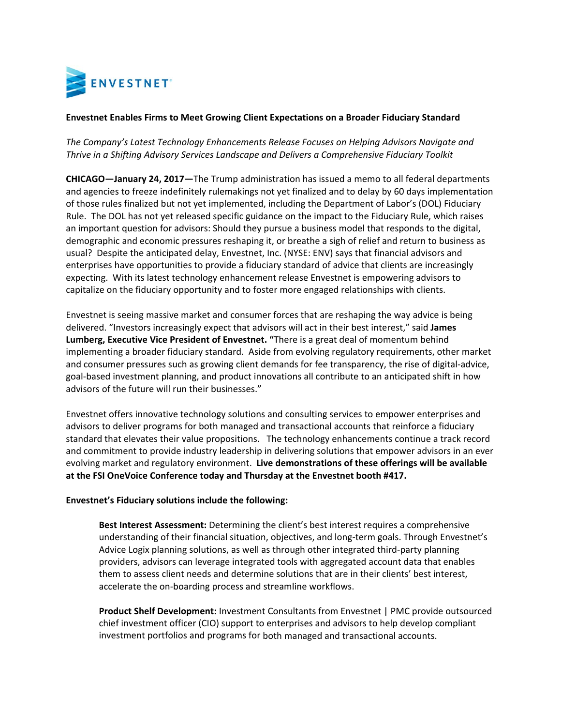

## **Envestnet Enables Firms to Meet Growing Client Expectations on a Broader Fiduciary Standard**

*The Company's Latest Technology Enhancements Release Focuses on Helping Advisors Navigate and Thrive in a Shifting Advisory Services Landscape and Delivers a Comprehensive Fiduciary Toolkit*

**CHICAGO—January 24, 2017—**The Trump administration has issued a memo to all federal departments and agencies to freeze indefinitely rulemakings not yet finalized and to delay by 60 days implementation of those rules finalized but not yet implemented, including the Department of Labor's (DOL) Fiduciary Rule. The DOL has not yet released specific guidance on the impact to the Fiduciary Rule, which raises an important question for advisors: Should they pursue a business model that responds to the digital, demographic and economic pressures reshaping it, or breathe a sigh of relief and return to business as usual? Despite the anticipated delay, Envestnet, Inc. (NYSE: ENV) says that financial advisors and enterprises have opportunities to provide a fiduciary standard of advice that clients are increasingly expecting. With its latest technology enhancement release Envestnet is empowering advisors to capitalize on the fiduciary opportunity and to foster more engaged relationships with clients.

Envestnet is seeing massive market and consumer forces that are reshaping the way advice is being delivered. "Investors increasingly expect that advisors will act in their best interest," said **James Lumberg, Executive Vice President of Envestnet. "**There is a great deal of momentum behind implementing a broader fiduciary standard. Aside from evolving regulatory requirements, other market and consumer pressures such as growing client demands for fee transparency, the rise of digital-advice, goal-based investment planning, and product innovations all contribute to an anticipated shift in how advisors of the future will run their businesses."

Envestnet offers innovative technology solutions and consulting services to empower enterprises and advisors to deliver programs for both managed and transactional accounts that reinforce a fiduciary standard that elevates their value propositions. The technology enhancements continue a track record and commitment to provide industry leadership in delivering solutions that empower advisors in an ever evolving market and regulatory environment. **Live demonstrations of these offerings will be available at the FSI OneVoice Conference today and Thursday at the Envestnet booth #417.** 

## **Envestnet's Fiduciary solutions include the following:**

**Best Interest Assessment:** Determining the client's best interest requires a comprehensive understanding of their financial situation, objectives, and long-term goals. Through Envestnet's Advice Logix planning solutions, as well as through other integrated third‐party planning providers, advisors can leverage integrated tools with aggregated account data that enables them to assess client needs and determine solutions that are in their clients' best interest, accelerate the on‐boarding process and streamline workflows.

**Product Shelf Development:** Investment Consultants from Envestnet | PMC provide outsourced chief investment officer (CIO) support to enterprises and advisors to help develop compliant investment portfolios and programs for both managed and transactional accounts.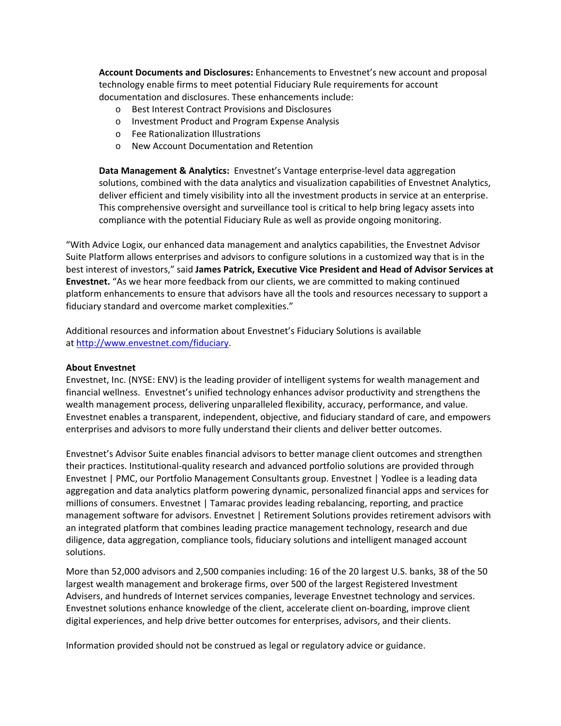**Account Documents and Disclosures:** Enhancements to Envestnet's new account and proposal technology enable firms to meet potential Fiduciary Rule requirements for account documentation and disclosures. These enhancements include:

- o Best Interest Contract Provisions and Disclosures
- o Investment Product and Program Expense Analysis
- o Fee Rationalization Illustrations
- o New Account Documentation and Retention

**Data Management & Analytics:** Envestnet's Vantage enterprise‐level data aggregation solutions, combined with the data analytics and visualization capabilities of Envestnet Analytics, deliver efficient and timely visibility into all the investment products in service at an enterprise. This comprehensive oversight and surveillance tool is critical to help bring legacy assets into compliance with the potential Fiduciary Rule as well as provide ongoing monitoring.

"With Advice Logix, our enhanced data management and analytics capabilities, the Envestnet Advisor Suite Platform allows enterprises and advisors to configure solutions in a customized way that is in the best interest of investors," said **James Patrick, Executive Vice President and Head of Advisor Services at Envestnet.** "As we hear more feedback from our clients, we are committed to making continued platform enhancements to ensure that advisors have all the tools and resources necessary to support a fiduciary standard and overcome market complexities."

Additional resources and information about Envestnet's Fiduciary Solutions is available at http://www.envestnet.com/fiduciary.

## **About Envestnet**

Envestnet, Inc. (NYSE: ENV) is the leading provider of intelligent systems for wealth management and financial wellness. Envestnet's unified technology enhances advisor productivity and strengthens the wealth management process, delivering unparalleled flexibility, accuracy, performance, and value. Envestnet enables a transparent, independent, objective, and fiduciary standard of care, and empowers enterprises and advisors to more fully understand their clients and deliver better outcomes.

Envestnet's Advisor Suite enables financial advisors to better manage client outcomes and strengthen their practices. Institutional‐quality research and advanced portfolio solutions are provided through Envestnet | PMC, our Portfolio Management Consultants group. Envestnet | Yodlee is a leading data aggregation and data analytics platform powering dynamic, personalized financial apps and services for millions of consumers. Envestnet | Tamarac provides leading rebalancing, reporting, and practice management software for advisors. Envestnet | Retirement Solutions provides retirement advisors with an integrated platform that combines leading practice management technology, research and due diligence, data aggregation, compliance tools, fiduciary solutions and intelligent managed account solutions.

More than 52,000 advisors and 2,500 companies including: 16 of the 20 largest U.S. banks, 38 of the 50 largest wealth management and brokerage firms, over 500 of the largest Registered Investment Advisers, and hundreds of Internet services companies, leverage Envestnet technology and services. Envestnet solutions enhance knowledge of the client, accelerate client on‐boarding, improve client digital experiences, and help drive better outcomes for enterprises, advisors, and their clients.

Information provided should not be construed as legal or regulatory advice or guidance.